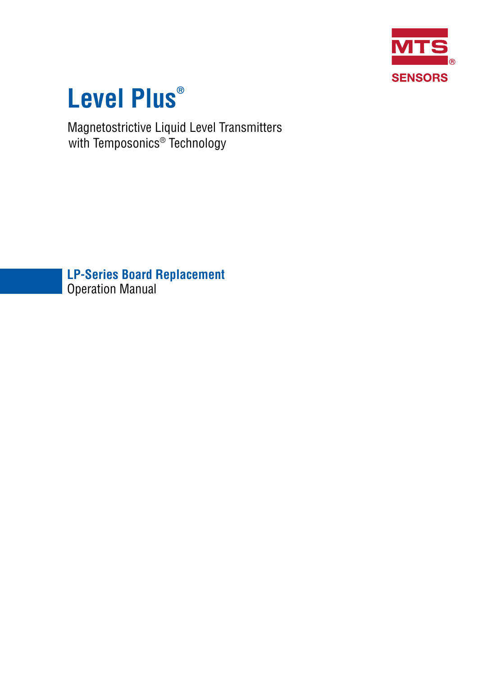

# **Level Plus®**

Magnetostrictive Liquid Level Transmitters with Temposonics® Technology

**LP-Series Board Replacement** Operation Manual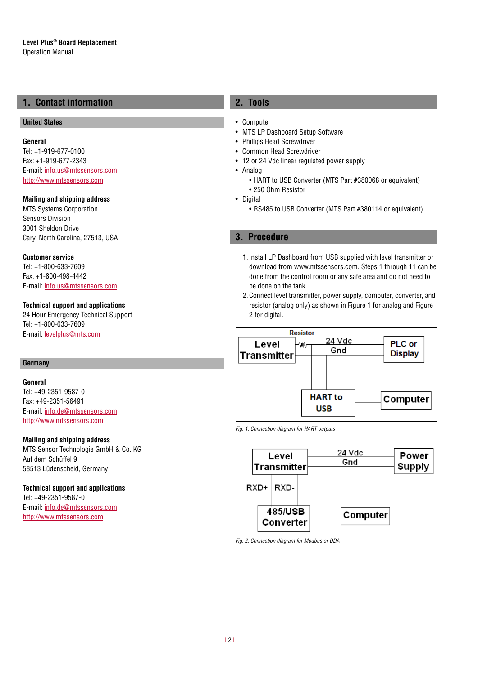# **1. Contact information**

## **United States**

**General** Tel: +1-919-677-0100 Fax: +1-919-677-2343 E-mail: [info.us@mtssensors.com](mailto:info.us%40mtssensors.com?subject=More%20info) <http://www.mtssensors.com>

# **Mailing and shipping address**

MTS Systems Corporation Sensors Division 3001 Sheldon Drive Cary, North Carolina, 27513, USA

#### **Customer service**

Tel: +1-800-633-7609 Fax: +1-800-498-4442 E-mail: [info.us@mtssensors.com](mailto:info.us@mtssensors.com)

# **Technical support and applications**

24 Hour Emergency Technical Support Tel: +1-800-633-7609 E-mail: [levelplus@mts.com](mailto:levelplus%40mts.com?subject=Level%20plus%20info)

# **Germany**

# **General**

Tel: +49-2351-9587-0 Fax: +49-2351-56491 E-mail: [info.de@mtssensors.com](mailto:info.de%40mtssensors.com?subject=More%20info) <http://www.mtssensors.com>

#### **Mailing and shipping address**

MTS Sensor Technologie GmbH & Co. KG Auf dem Schüffel 9 58513 Lüdenscheid, Germany

## **Technical support and applications**

Tel: +49-2351-9587-0 E-mail: [info.de@mtssensors.com](mailto:info.de%40mtssensors.com?subject=More%20info) <http://www.mtssensors.com>

# **2. Tools**

- Computer
- MTS LP Dashboard Setup Software
- Phillips Head Screwdriver
- Common Head Screwdriver
- 12 or 24 Vdc linear regulated power supply
- Analog
	- HART to USB Converter (MTS Part #380068 or equivalent)
	- 250 Ohm Resistor
- Digital
	- RS485 to USB Converter (MTS Part #380114 or equivalent)

# **3. Procedure**

- 1.Install LP Dashboard from USB supplied with level transmitter or download from www.mtssensors.com. Steps 1 through 11 can be done from the control room or any safe area and do not need to be done on the tank.
- 2.Connect level transmitter, power supply, computer, converter, and resistor (analog only) as shown in Figure 1 for analog and Figure 2 for digital.



*Fig. 1: Connection diagram for HART outputs*



*Fig. 2: Connection diagram for Modbus or DDA*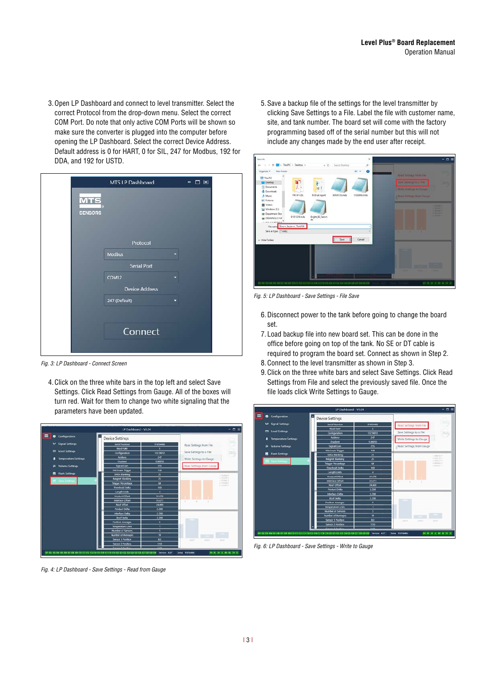3.Open LP Dashboard and connect to level transmitter. Select the correct Protocol from the drop-down menu. Select the correct COM Port. Do note that only active COM Ports will be shown so make sure the converter is plugged into the computer before opening the LP Dashboard. Select the correct Device Address. Default address is 0 for HART, 0 for SIL, 247 for Modbus, 192 for DDA, and 192 for USTD.

|                              | <b>MTS LP Dashboard</b> | - 口 図 |  |
|------------------------------|-------------------------|-------|--|
| <b>MTS</b><br><b>SENSORS</b> |                         |       |  |
|                              | Protocol                |       |  |
|                              | Modbus                  |       |  |
|                              | <b>Serial Port</b>      |       |  |
|                              | COM12                   |       |  |
|                              | <b>Device Address</b>   |       |  |
|                              | 247 (Default)           |       |  |
|                              |                         |       |  |
|                              | Connect                 |       |  |
|                              |                         |       |  |

*Fig. 3: LP Dashboard - Connect Screen*

4.Click on the three white bars in the top left and select Save Settings. Click Read Settings from Gauge. All of the boxes will turn red. Wait for them to change two white signaling that the parameters have been updated.



*Fig. 4: LP Dashboard - Save Settings - Read from Gauge*

5.Save a backup file of the settings for the level transmitter by clicking Save Settings to a File. Label the file with customer name, site, and tank number. The board set will come with the factory programming based off of the serial number but this will not include any changes made by the end user after receipt.



*Fig. 5: LP Dashboard - Save Settings - File Save*

- 6.Disconnect power to the tank before going to change the board set.
- 7. Load backup file into new board set. This can be done in the office before going on top of the tank. No SE or DT cable is required to program the board set. Connect as shown in Step 2.
- 8.Connect to the level transmitter as shown in Step 3.
- 9.Click on the three white bars and select Save Settings. Click Read Settings from File and select the previously saved file. Once the file loads click Write Settings to Gauge.



*Fig. 6: LP Dashboard - Save Settings - Write to Gauge*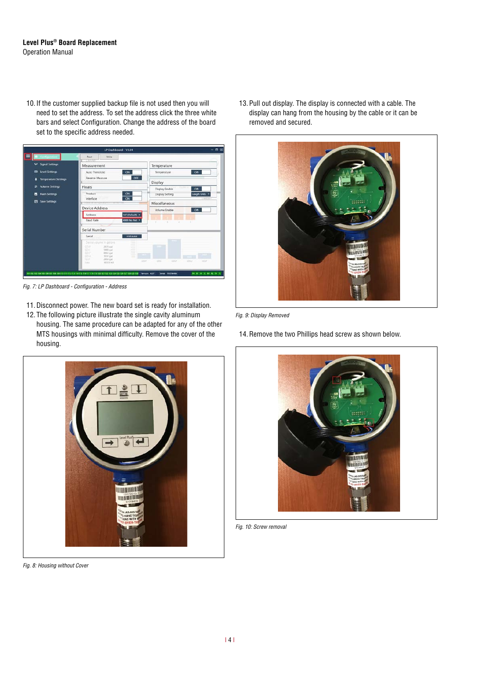# **Level Plus® Board Replacement** Operation Manual

10. If the customer supplied backup file is not used then you will need to set the address. To set the address click the three white bars and select Configuration. Change the address of the board set to the specific address needed.



*Fig. 7: LP Dashboard - Configuration - Address*

- 11.Disconnect power. The new board set is ready for installation.
- 12. The following picture illustrate the single cavity aluminum housing. The same procedure can be adapted for any of the other MTS housings with minimal difficulty. Remove the cover of the housing.

13. Pull out display. The display is connected with a cable. The display can hang from the housing by the cable or it can be removed and secured.



*Fig. 9: Display Removed*

14.Remove the two Phillips head screw as shown below.



*Fig. 8: Housing without Cover*



*Fig. 10: Screw removal*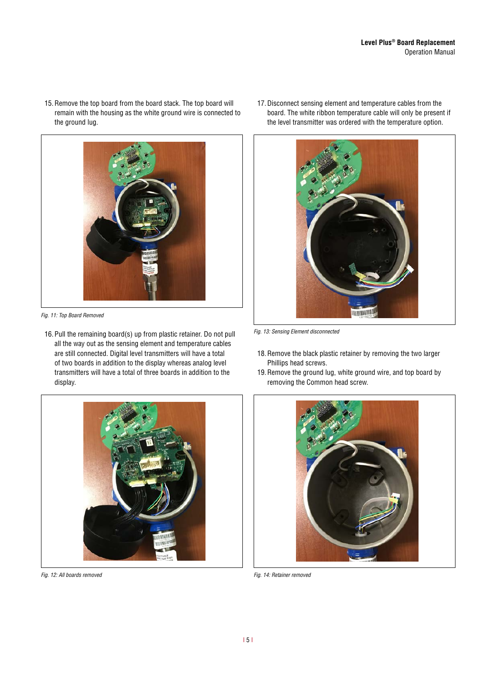15.Remove the top board from the board stack. The top board will remain with the housing as the white ground wire is connected to the ground lug.



*Fig. 11: Top Board Removed*

16. Pull the remaining board(s) up from plastic retainer. Do not pull all the way out as the sensing element and temperature cables are still connected. Digital level transmitters will have a total of two boards in addition to the display whereas analog level transmitters will have a total of three boards in addition to the display.

17.Disconnect sensing element and temperature cables from the board. The white ribbon temperature cable will only be present if the level transmitter was ordered with the temperature option.



*Fig. 13: Sensing Element disconnected*

- 18.Remove the black plastic retainer by removing the two larger Phillips head screws.
- 19.Remove the ground lug, white ground wire, and top board by removing the Common head screw.



*Fig. 12: All boards removed*



*Fig. 14: Retainer removed*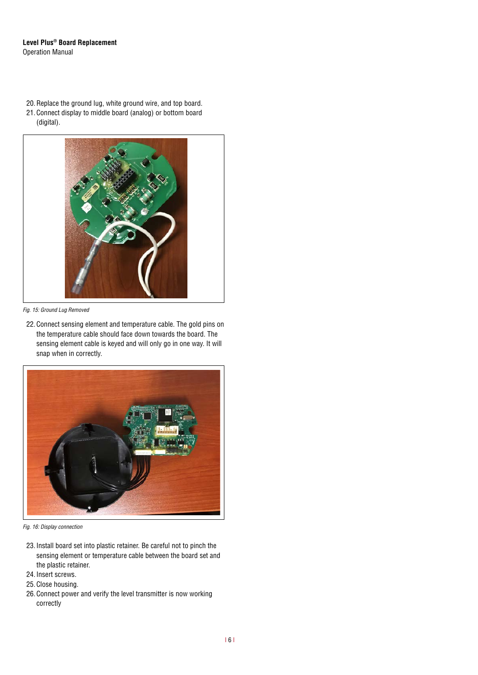# **Level Plus® Board Replacement** Operation Manual

20.Replace the ground lug, white ground wire, and top board. 21. Connect display to middle board (analog) or bottom board (digital).



*Fig. 15: Ground Lug Removed*

22. Connect sensing element and temperature cable. The gold pins on the temperature cable should face down towards the board. The sensing element cable is keyed and will only go in one way. It will snap when in correctly.



*Fig. 16: Display connection*

- 23. Install board set into plastic retainer. Be careful not to pinch the sensing element or temperature cable between the board set and the plastic retainer.
- 24. Insert screws.
- 25. Close housing.
- 26. Connect power and verify the level transmitter is now working correctly